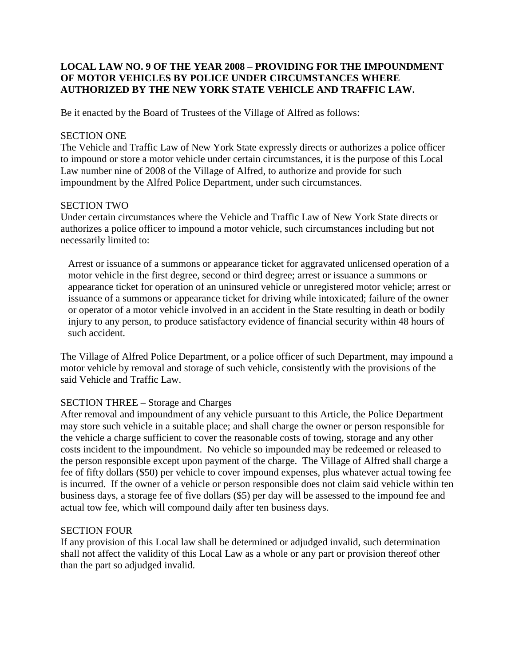## **LOCAL LAW NO. <sup>9</sup> OF THE YEAR <sup>2008</sup> <sup>ñ</sup> PROVIDING FOR THE IMPOUNDMENT OF MOTOR VEHICLES BY POLICE UNDER CIRCUMSTANCES WHERE AUTHORIZED BY THE NEW YORK STATE VEHICLE AND TRAFFIC LAW.**

Be it enacted by the Board of Trustees of the Village of Alfred as follows:

#### SECTION ONE

The Vehicle and Traffic Law of New York State expressly directs or authorizes a police officer to impound or store a motor vehicle under certain circumstances, it is the purpose of this Local Law number nine of 2008 of the Village of Alfred, to authorize and provide for such impoundment by the Alfred Police Department, under such circumstances.

## SECTION TWO

Under certain circumstances where the Vehicle and Traffic Law of New York State directs or authorizes a police officer to impound a motor vehicle, such circumstances including but not necessarily limited to:

Arrest or issuance of a summons or appearance ticket for aggravated unlicensed operation of a motor vehicle in the first degree, second or third degree; arrest or issuance a summons or appearance ticket for operation of an uninsured vehicle or unregistered motor vehicle; arrest or issuance of a summons or appearance ticket for driving while intoxicated; failure of the owner or operator of a motor vehicle involved in an accident in the State resulting in death or bodily injury to any person, to produce satisfactory evidence of financial security within 48 hours of such accident.

The Village of Alfred Police Department, or a police officer of such Department, may impound a motor vehicle by removal and storage of such vehicle, consistently with the provisions of the said Vehicle and Traffic Law.

## SECTION THREE – Storage and Charges

After removal and impoundment of any vehicle pursuant to this Article, the Police Department may store such vehicle in a suitable place; and shall charge the owner or person responsible for the vehicle a charge sufficient to cover the reasonable costs of towing, storage and any other costs incident to the impoundment. No vehicle so impounded may be redeemed or released to the person responsible except upon payment of the charge. The Village of Alfred shall charge a fee of fifty dollars (\$50) per vehicle to cover impound expenses, plus whatever actual towing fee is incurred. If the owner of a vehicle or person responsible does not claim said vehicle within ten business days, a storage fee of five dollars (\$5) per day will be assessed to the impound fee and actual tow fee, which will compound daily after ten business days.

#### SECTION FOUR

If any provision of this Local law shall be determined or adjudged invalid, such determination shall not affect the validity of this Local Law as a whole or any part or provision thereof other than the part so adjudged invalid.